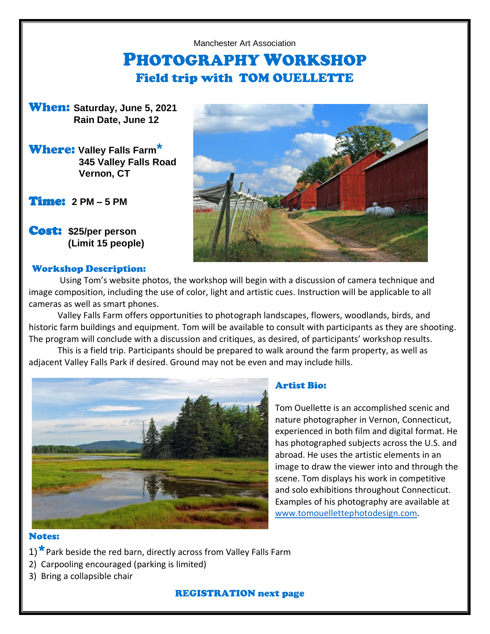#### Manchester Art Association

# PHOTOGRAPHY WORKSHOP Field trip with TOM OUELLETTE

When: **Saturday, June 5, 2021 Rain Date, June 12**

# Where: **Valley Falls Farm\* 345 Valley Falls Road Vernon, CT**

Time: **2 PM – 5 PM**

Cost: **\$25/per person (Limit 15 people)**

#### Workshop Description:



Using Tom's website photos, the workshop will begin with a discussion of camera technique and image composition, including the use of color, light and artistic cues. Instruction will be applicable to all cameras as well as smart phones.

Valley Falls Farm offers opportunities to photograph landscapes, flowers, woodlands, birds, and historic farm buildings and equipment. Tom will be available to consult with participants as they are shooting. The program will conclude with a discussion and critiques, as desired, of participants' workshop results.

This is a field trip. Participants should be prepared to walk around the farm property, as well as adjacent Valley Falls Park if desired. Ground may not be even and may include hills.



# Artist Bio:

Tom Ouellette is an accomplished scenic and nature photographer in Vernon, Connecticut, experienced in both film and digital format. He has photographed subjects across the U.S. and abroad. He uses the artistic elements in an image to draw the viewer into and through the scene. Tom displays his work in competitive and solo exhibitions throughout Connecticut. Examples of his photography are available at [www.tomouellettephotodesign.com.](http://www.tomouellettephotodesign.com/)

# Notes:

- 1)<sup>\*</sup> Park beside the red barn, directly across from Valley Falls Farm
- 2) Carpooling encouraged (parking is limited)
- 3) Bring a collapsible chair

# REGISTRATION next page